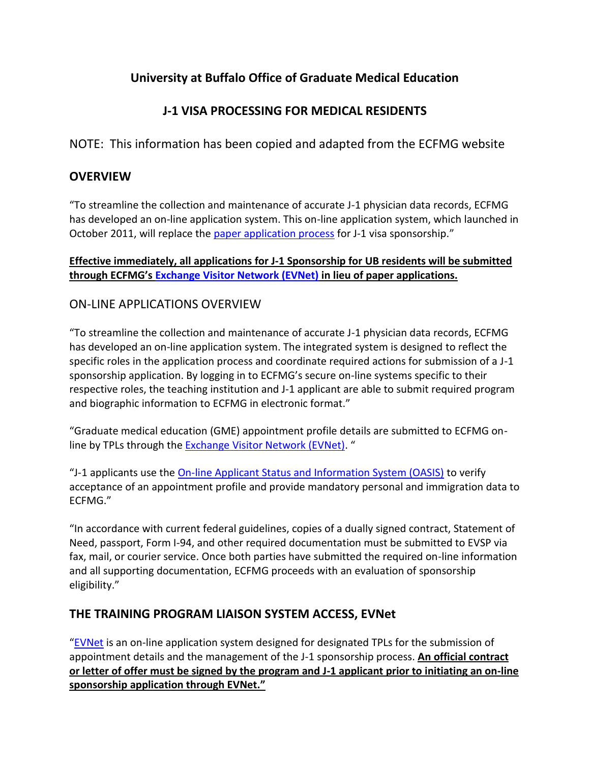# **University at Buffalo Office of Graduate Medical Education**

# **J-1 VISA PROCESSING FOR MEDICAL RESIDENTS**

NOTE: This information has been copied and adapted from the ECFMG website

## **OVERVIEW**

"To streamline the collection and maintenance of accurate J-1 physician data records, ECFMG has developed an on-line application system. This on-line application system, which launched in October 2011, will replace the [paper application process](http://www.ecfmg.org/evsp/application-paper.html) for J-1 visa sponsorship."

### **Effective immediately, all applications for J-1 Sponsorship for UB residents will be submitted through ECFMG's [Exchange Visitor Network \(EVNet\)](https://evnet.ecfmg.org/) in lieu of paper applications.**

### ON-LINE APPLICATIONS OVERVIEW

"To streamline the collection and maintenance of accurate J-1 physician data records, ECFMG has developed an on-line application system. The integrated system is designed to reflect the specific roles in the application process and coordinate required actions for submission of a J-1 sponsorship application. By logging in to ECFMG's secure on-line systems specific to their respective roles, the teaching institution and J-1 applicant are able to submit required program and biographic information to ECFMG in electronic format."

"Graduate medical education (GME) appointment profile details are submitted to ECFMG online by TPLs through the [Exchange Visitor Network \(EVNet\).](https://evnet.ecfmg.org/) "

"J-1 applicants use the [On-line Applicant Status and Information System \(OASIS\)](https://oasis2.ecfmg.org/) to verify acceptance of an appointment profile and provide mandatory personal and immigration data to ECFMG."

"In accordance with current federal guidelines, copies of a dually signed contract, Statement of Need, passport, Form I-94, and other required documentation must be submitted to EVSP via fax, mail, or courier service. Once both parties have submitted the required on-line information and all supporting documentation, ECFMG proceeds with an evaluation of sponsorship eligibility."

## **THE TRAINING PROGRAM LIAISON SYSTEM ACCESS, EVNet**

"[EVNet](https://evnet.ecfmg.org/) is an on-line application system designed for designated TPLs for the submission of appointment details and the management of the J-1 sponsorship process. **An official contract or letter of offer must be signed by the program and J-1 applicant prior to initiating an on-line sponsorship application through EVNet."**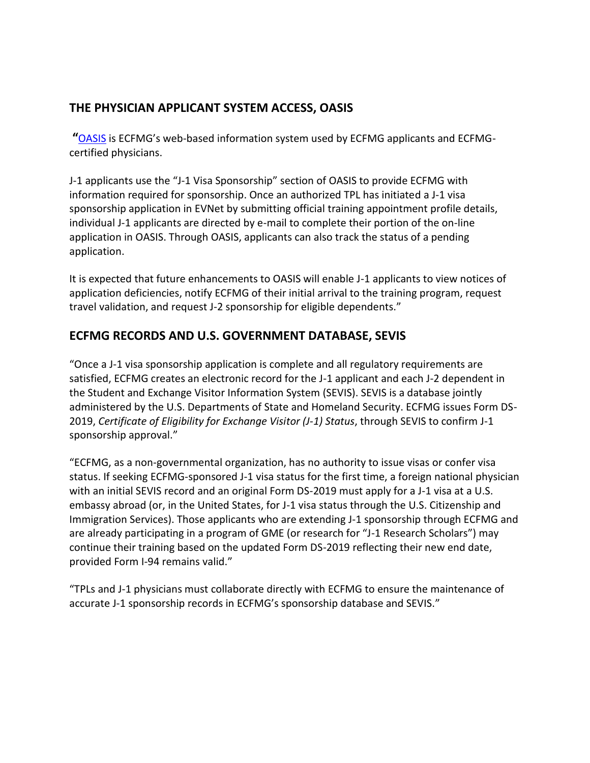# **THE PHYSICIAN APPLICANT SYSTEM ACCESS, OASIS**

**"**[OASIS](https://oasis2.ecfmg.org/) is ECFMG's web-based information system used by ECFMG applicants and ECFMGcertified physicians.

J-1 applicants use the "J-1 Visa Sponsorship" section of OASIS to provide ECFMG with information required for sponsorship. Once an authorized TPL has initiated a J-1 visa sponsorship application in EVNet by submitting official training appointment profile details, individual J-1 applicants are directed by e-mail to complete their portion of the on-line application in OASIS. Through OASIS, applicants can also track the status of a pending application.

It is expected that future enhancements to OASIS will enable J-1 applicants to view notices of application deficiencies, notify ECFMG of their initial arrival to the training program, request travel validation, and request J-2 sponsorship for eligible dependents."

## **ECFMG RECORDS AND U.S. GOVERNMENT DATABASE, SEVIS**

"Once a J-1 visa sponsorship application is complete and all regulatory requirements are satisfied, ECFMG creates an electronic record for the J-1 applicant and each J-2 dependent in the Student and Exchange Visitor Information System (SEVIS). SEVIS is a database jointly administered by the U.S. Departments of State and Homeland Security. ECFMG issues Form DS-2019, *Certificate of Eligibility for Exchange Visitor (J-1) Status*, through SEVIS to confirm J-1 sponsorship approval."

"ECFMG, as a non-governmental organization, has no authority to issue visas or confer visa status. If seeking ECFMG-sponsored J-1 visa status for the first time, a foreign national physician with an initial SEVIS record and an original Form DS-2019 must apply for a J-1 visa at a U.S. embassy abroad (or, in the United States, for J-1 visa status through the U.S. Citizenship and Immigration Services). Those applicants who are extending J-1 sponsorship through ECFMG and are already participating in a program of GME (or research for "J-1 Research Scholars") may continue their training based on the updated Form DS-2019 reflecting their new end date, provided Form I-94 remains valid."

"TPLs and J-1 physicians must collaborate directly with ECFMG to ensure the maintenance of accurate J-1 sponsorship records in ECFMG's sponsorship database and SEVIS."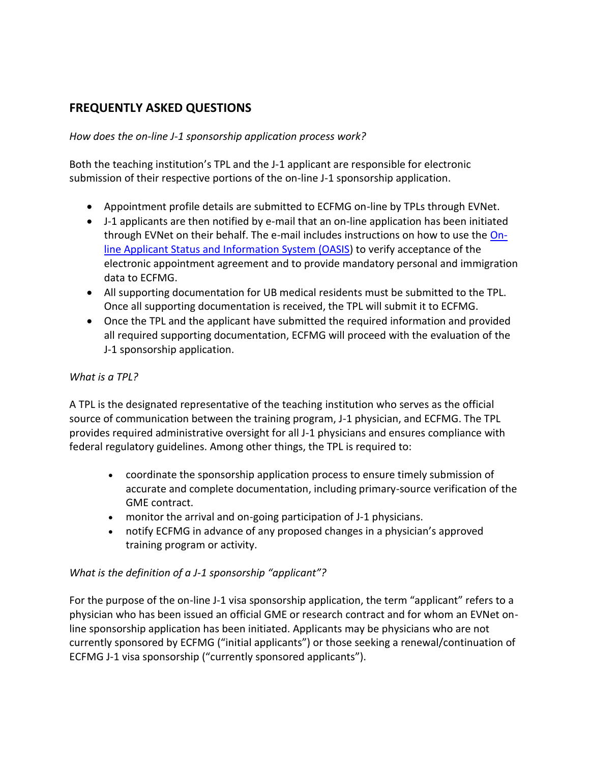# **FREQUENTLY ASKED QUESTIONS**

#### *How does the on-line J-1 sponsorship application process work?*

Both the teaching institution's TPL and the J-1 applicant are responsible for electronic submission of their respective portions of the on-line J-1 sponsorship application.

- Appointment profile details are submitted to ECFMG on-line by TPLs through EVNet.
- J-1 applicants are then notified by e-mail that an on-line application has been initiated through EVNet on their behalf. The e-mail includes instructions on how to use the [On](https://oasis2.ecfmg.org/)[line Applicant Status and Information System \(OASIS\)](https://oasis2.ecfmg.org/) to verify acceptance of the electronic appointment agreement and to provide mandatory personal and immigration data to ECFMG.
- All supporting documentation for UB medical residents must be submitted to the TPL. Once all supporting documentation is received, the TPL will submit it to ECFMG.
- Once the TPL and the applicant have submitted the required information and provided all required supporting documentation, ECFMG will proceed with the evaluation of the J-1 sponsorship application.

#### *What is a TPL?*

A TPL is the designated representative of the teaching institution who serves as the official source of communication between the training program, J-1 physician, and ECFMG. The TPL provides required administrative oversight for all J-1 physicians and ensures compliance with federal regulatory guidelines. Among other things, the TPL is required to:

- coordinate the sponsorship application process to ensure timely submission of accurate and complete documentation, including primary-source verification of the GME contract.
- monitor the arrival and on-going participation of J-1 physicians.
- notify ECFMG in advance of any proposed changes in a physician's approved training program or activity.

#### *What is the definition of a J-1 sponsorship "applicant"?*

For the purpose of the on-line J-1 visa sponsorship application, the term "applicant" refers to a physician who has been issued an official GME or research contract and for whom an EVNet online sponsorship application has been initiated. Applicants may be physicians who are not currently sponsored by ECFMG ("initial applicants") or those seeking a renewal/continuation of ECFMG J-1 visa sponsorship ("currently sponsored applicants").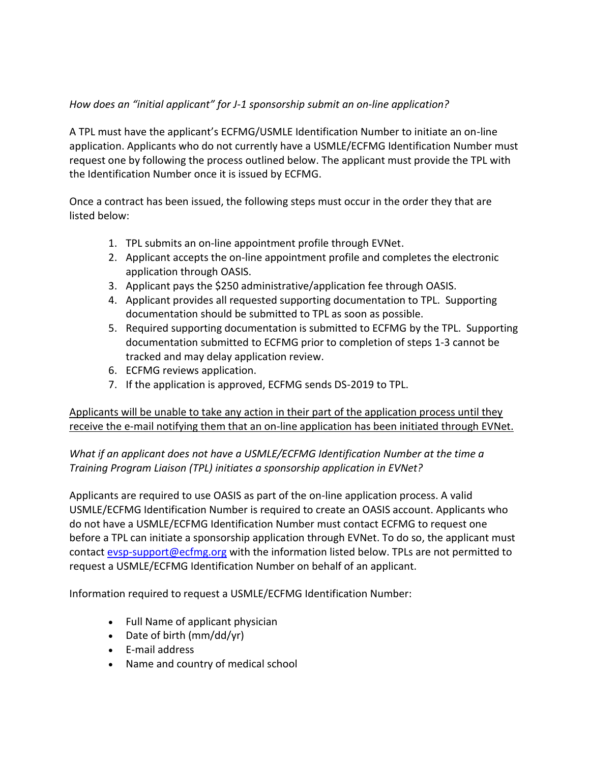### *How does an "initial applicant" for J-1 sponsorship submit an on-line application?*

A TPL must have the applicant's ECFMG/USMLE Identification Number to initiate an on-line application. Applicants who do not currently have a USMLE/ECFMG Identification Number must request one by following the process outlined below. The applicant must provide the TPL with the Identification Number once it is issued by ECFMG.

Once a contract has been issued, the following steps must occur in the order they that are listed below:

- 1. TPL submits an on-line appointment profile through EVNet.
- 2. Applicant accepts the on-line appointment profile and completes the electronic application through OASIS.
- 3. Applicant pays the \$250 administrative/application fee through OASIS.
- 4. Applicant provides all requested supporting documentation to TPL. Supporting documentation should be submitted to TPL as soon as possible.
- 5. Required supporting documentation is submitted to ECFMG by the TPL. Supporting documentation submitted to ECFMG prior to completion of steps 1-3 cannot be tracked and may delay application review.
- 6. ECFMG reviews application.
- 7. If the application is approved, ECFMG sends DS-2019 to TPL.

Applicants will be unable to take any action in their part of the application process until they receive the e-mail notifying them that an on-line application has been initiated through EVNet.

*What if an applicant does not have a USMLE/ECFMG Identification Number at the time a Training Program Liaison (TPL) initiates a sponsorship application in EVNet?*

Applicants are required to use OASIS as part of the on-line application process. A valid USMLE/ECFMG Identification Number is required to create an OASIS account. Applicants who do not have a USMLE/ECFMG Identification Number must contact ECFMG to request one before a TPL can initiate a sponsorship application through EVNet. To do so, the applicant must contact [evsp-support@ecfmg.org](mailto:evsp-support@ecfmg.org) with the information listed below. TPLs are not permitted to request a USMLE/ECFMG Identification Number on behalf of an applicant.

Information required to request a USMLE/ECFMG Identification Number:

- Full Name of applicant physician
- $\bullet$  Date of birth (mm/dd/yr)
- $\bullet$  F-mail address
- Name and country of medical school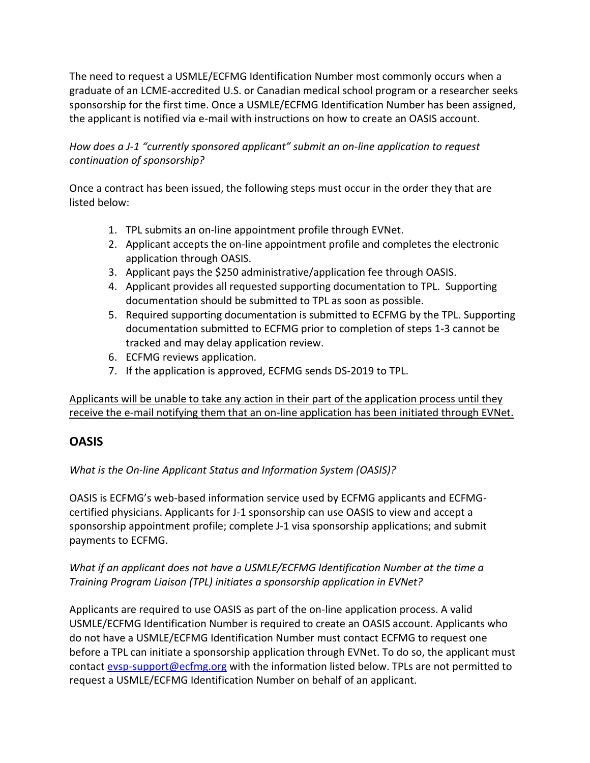The need to request a USMLE/ECFMG Identification Number most commonly occurs when a graduate of an LCME-accredited U.S. or Canadian medical school program or a researcher seeks sponsorship for the first time. Once a USMLE/ECFMG Identification Number has been assigned, the applicant is notified via e-mail with instructions on how to create an OASIS account.

*How does a J-1 "currently sponsored applicant" submit an on-line application to request continuation of sponsorship?*

Once a contract has been issued, the following steps must occur in the order they that are listed below:

- 1. TPL submits an on-line appointment profile through EVNet.
- 2. Applicant accepts the on-line appointment profile and completes the electronic application through OASIS.
- 3. Applicant pays the \$250 administrative/application fee through OASIS.
- 4. Applicant provides all requested supporting documentation to TPL. Supporting documentation should be submitted to TPL as soon as possible.
- 5. Required supporting documentation is submitted to ECFMG by the TPL. Supporting documentation submitted to ECFMG prior to completion of steps 1-3 cannot be tracked and may delay application review.
- 6. ECFMG reviews application.
- 7. If the application is approved, ECFMG sends DS-2019 to TPL.

Applicants will be unable to take any action in their part of the application process until they receive the e-mail notifying them that an on-line application has been initiated through EVNet.

## **OASIS**

*What is the On-line Applicant Status and Information System (OASIS)?*

OASIS is ECFMG's web-based information service used by ECFMG applicants and ECFMGcertified physicians. Applicants for J-1 sponsorship can use OASIS to view and accept a sponsorship appointment profile; complete J-1 visa sponsorship applications; and submit payments to ECFMG.

### *What if an applicant does not have a USMLE/ECFMG Identification Number at the time a Training Program Liaison (TPL) initiates a sponsorship application in EVNet?*

Applicants are required to use OASIS as part of the on-line application process. A valid USMLE/ECFMG Identification Number is required to create an OASIS account. Applicants who do not have a USMLE/ECFMG Identification Number must contact ECFMG to request one before a TPL can initiate a sponsorship application through EVNet. To do so, the applicant must contact [evsp-support@ecfmg.org](mailto:evsp-support@ecfmg.org) with the information listed below. TPLs are not permitted to request a USMLE/ECFMG Identification Number on behalf of an applicant.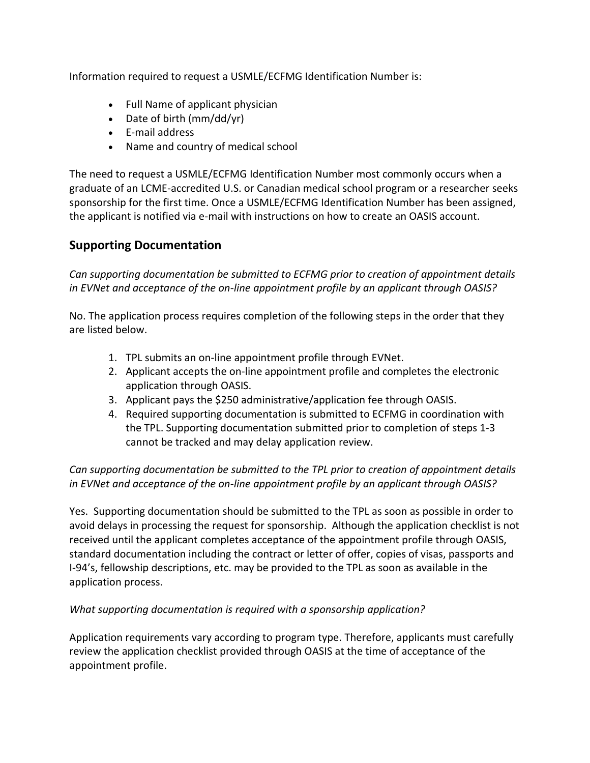Information required to request a USMLE/ECFMG Identification Number is:

- Full Name of applicant physician
- $\bullet$  Date of birth (mm/dd/yr)
- E-mail address
- Name and country of medical school

The need to request a USMLE/ECFMG Identification Number most commonly occurs when a graduate of an LCME-accredited U.S. or Canadian medical school program or a researcher seeks sponsorship for the first time. Once a USMLE/ECFMG Identification Number has been assigned, the applicant is notified via e-mail with instructions on how to create an OASIS account.

## **Supporting Documentation**

*Can supporting documentation be submitted to ECFMG prior to creation of appointment details in EVNet and acceptance of the on-line appointment profile by an applicant through OASIS?*

No. The application process requires completion of the following steps in the order that they are listed below.

- 1. TPL submits an on-line appointment profile through EVNet.
- 2. Applicant accepts the on-line appointment profile and completes the electronic application through OASIS.
- 3. Applicant pays the \$250 administrative/application fee through OASIS.
- 4. Required supporting documentation is submitted to ECFMG in coordination with the TPL. Supporting documentation submitted prior to completion of steps 1-3 cannot be tracked and may delay application review.

*Can supporting documentation be submitted to the TPL prior to creation of appointment details in EVNet and acceptance of the on-line appointment profile by an applicant through OASIS?*

Yes. Supporting documentation should be submitted to the TPL as soon as possible in order to avoid delays in processing the request for sponsorship. Although the application checklist is not received until the applicant completes acceptance of the appointment profile through OASIS, standard documentation including the contract or letter of offer, copies of visas, passports and I-94's, fellowship descriptions, etc. may be provided to the TPL as soon as available in the application process.

#### *What supporting documentation is required with a sponsorship application?*

Application requirements vary according to program type. Therefore, applicants must carefully review the application checklist provided through OASIS at the time of acceptance of the appointment profile.